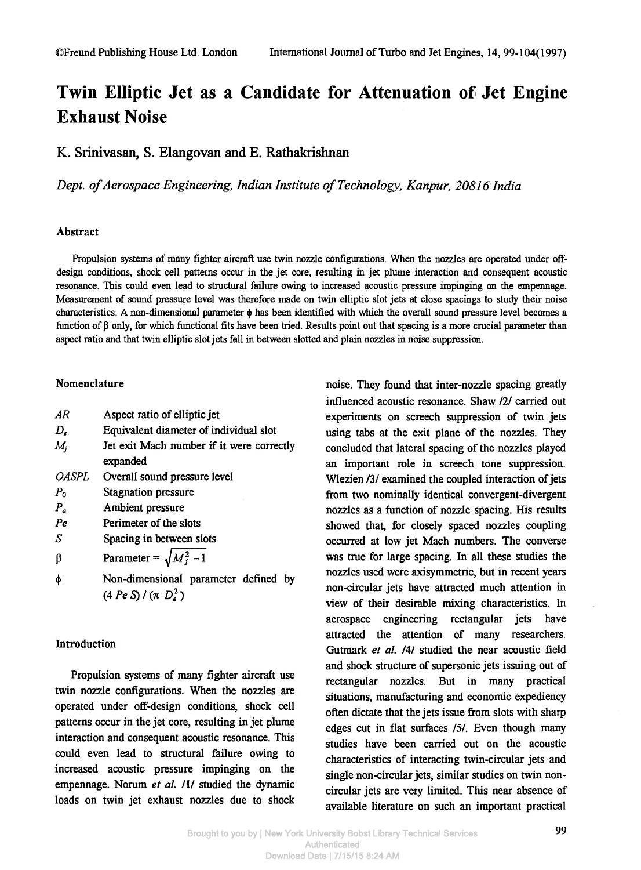# **Twin Elliptic Jet as a Candidate for Attenuation of Jet Engine Exhaust Noise**

K. Srinivasan, S. Elangovan and E. Rathakrishnan

*Dept. of Aerospace Engineering, Indian Institute of Technology, Kanpur, 20816 India* 

## Abstract

**Propulsion systems of many fighter aircraft use twin nozzle configurations. When the nozzles are operated under offdesign conditions, shock cell patterns occur in the jet core, resulting in jet plume interaction and consequent acoustic resonance. This could even lead to structural failure owing to increased acoustic pressure impinging on the empennage. Measurement of sound pressure level was therefore made on twin elliptic slot jets at close spacings to study their noise characteristics. A non-dimensional parameter φ has been identified with which the overall sound pressure level becomes a function of β only, for which functional fits have been tried. Results point out that spacing is a more crucial parameter than aspect ratio and that twin elliptic slot jets fall in between slotted and plain nozzles in noise suppression.** 

## Nomenclature

| AR                  | Aspect ratio of elliptic jet                          |
|---------------------|-------------------------------------------------------|
| $D_{\epsilon}$      | Equivalent diameter of individual slot                |
| $M_i$               | Jet exit Mach number if it were correctly<br>expanded |
| <i><b>OASPL</b></i> | Overall sound pressure level                          |
| $P_{0}$             | <b>Stagnation pressure</b>                            |
| $P_{a}$             | Ambient pressure                                      |
| Pe                  | Perimeter of the slots                                |
| S                   | Spacing in between slots                              |
| β                   | Parameter = $\sqrt{M_i^2 - 1}$                        |
| φ                   | Non-dimensional parameter defined by                  |
|                     | $(4 Pe S) / (\pi D_e^2)$                              |

# Introduction

Propulsion systems of many fighter aircraft use twin nozzle configurations. When the nozzles are operated under off-design conditions, shock cell patterns occur in the jet core, resulting in jet plume interaction and consequent acoustic resonance. This could even lead to structural failure owing to increased acoustic pressure impinging on the empennage. Norum *et al.* /1/ studied the dynamic loads on twin jet exhaust nozzles due to shock noise. They found that inter-nozzle spacing greatly influenced acoustic resonance. Shaw /2/ carried out experiments on screech suppression of twin jets using tabs at the exit plane of the nozzles. They concluded that lateral spacing of the nozzles played an important role in screech tone suppression. Wlezien /3/ examined the coupled interaction of jets from two nominally identical convergent-divergent nozzles as a function of nozzle spacing. His results showed that, for closely spaced nozzles coupling occurred at low jet Mach numbers. The converse was true for large spacing. In all these studies the nozzles used were axisymmetric, but in recent years non-circular jets have attracted much attention in view of their desirable mixing characteristics. In aerospace engineering rectangular jets have attracted the attention of many researchers. Gutmark et al. /4/ studied the near acoustic field and shock structure of supersonic jets issuing out of rectangular nozzles. But in many practical situations, manufacturing and economic expediency often dictate that the jets issue from slots with sharp edges cut in flat surfaces *151.* Even though many studies have been carried out on the acoustic characteristics of interacting twin-circular jets and single non-circular jets, similar studies on twin noncircular jets are very limited. This near absence of available literature on such an important practical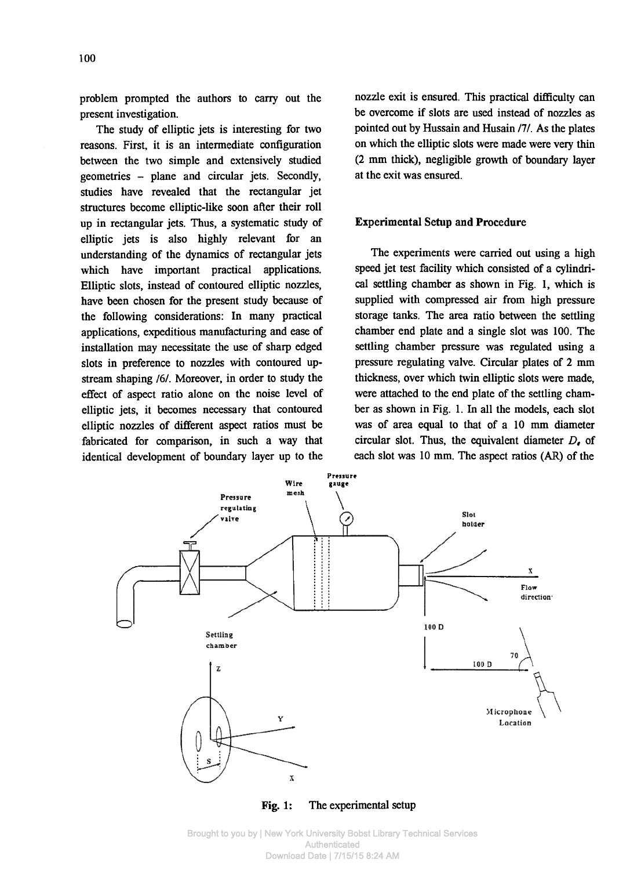problem prompted the authors to carry out the present investigation.

The study of elliptic jets is interesting for two reasons. First, it is an intermediate configuration between the two simple and extensively studied geometries - plane and circular jets. Secondly, studies have revealed that the rectangular jet structures become elliptic-like soon after their roll up in rectangular jets. Thus, a systematic study of elliptic jets is also highly relevant for an understanding of the dynamics of rectangular jets which have important practical applications. Elliptic slots, instead of contoured elliptic nozzles, have been chosen for the present study because of the following considerations: In many practical applications, expeditious manufacturing and ease of installation may necessitate the use of sharp edged slots in preference to nozzles with contoured upstream shaping /6/. Moreover, in order to study the effect of aspect ratio alone on the noise level of elliptic jets, it becomes necessary that contoured elliptic nozzles of different aspect ratios must be fabricated for comparison, in such a way that identical development of boundary layer up to the

nozzle exit is ensured. This practical difficulty can be overcome if slots are used instead of nozzles as pointed out by Hussain and Husain *111.* As the plates on which the elliptic slots were made were very thin (2 mm thick), negligible growth of boundary layer at the exit was ensured.

# **Experimental Setup and Procedure**

The experiments were carried out using a high speed jet test facility which consisted of a cylindrical settling chamber as shown in Fig. 1, which is supplied with compressed air from high pressure storage tanks. The area ratio between the settling chamber end plate and a single slot was 100. The settling chamber pressure was regulated using a pressure regulating valve. Circular plates of 2 mm thickness, over which twin elliptic slots were made, were attached to the end plate of the settling chamber as shown in Fig. 1. In all the models, each slot was of area equal to that of a 10 mm diameter circular slot. Thus, the equivalent diameter  $D_{\epsilon}$  of each slot was 10 mm. The aspect ratios (AR) of the



Fig. 1: The experimental setup

Brought to you by | New York University Bobst Library Technical Services Authenticated Download Date | 7/15/15 8:24 AM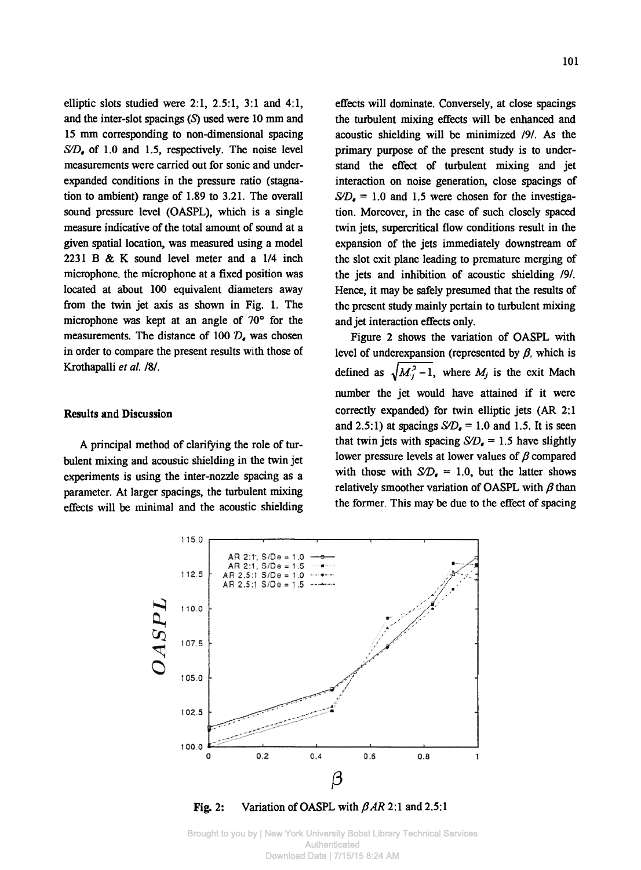elliptic slots studied were  $2:1$ ,  $2:5:1$ ,  $3:1$  and  $4:1$ . and the inter-slot spacings  $(S)$  used were 10 mm and 15 mm corresponding to non-dimensional spacing *S/D,* of 1.0 and 1.5, respectively. The noise level measurements were carried out for sonic and underexpanded conditions in the pressure ratio (stagnation to ambient) range of 1.89 to 3.21. The overall sound pressure level (OASPL), which is a single measure indicative of the total amount of sound at a given spatial location, was measured using a model 2231 Β & Κ sound level meter and a 1/4 inch microphone, the microphone at a fixed position was located at about 100 equivalent diameters away from the twin jet axis as shown in Fig. 1. The microphone was kept at an angle of 70° for the measurements. The distance of 100 *D,* was chosen in order to compare the present results with those of Krothapalli *et al. /&/.* 

## Results and Discussion

A principal method of clarifying the role of turbulent mixing and acoustic shielding in the twin jet experiments is using the inter-nozzle spacing as a parameter. At larger spacings, the turbulent mixing effects will be minimal and the acoustic shielding

effects will dominate. Conversely, at close spacings the turbulent mixing effects will be enhanced and acoustic shielding will be minimized *191.* As the primary purpose of the present study is to understand the effect of turbulent mixing and jet interaction on noise generation, close spacings of  $S/D<sub>a</sub> = 1.0$  and 1.5 were chosen for the investigation. Moreover, in the case of such closely spaced twin jets, supercritical flow conditions result in the expansion of the jets immediately downstream of the slot exit plane leading to premature merging of the jets and inhibition of acoustic shielding *191.*  Hence, it may be safely presumed that the results of the present study mainly pertain to turbulent mixing and jet interaction effects only.

Figure 2 shows the variation of OASPL with level of underexpansion (represented by  $\beta$ , which is defined as  $\sqrt{M_i^2 - 1}$ , where M<sub>i</sub> is the exit Mach number the jet would have attained if it were correctly expanded) for twin elliptic jets (AR 2:1 and 2.5:1) at spacings  $S/D<sub>a</sub> = 1.0$  and 1.5. It is seen that twin jets with spacing  $SD<sub>n</sub> = 1.5$  have slightly lower pressure levels at lower values of  $\beta$  compared with those with  $SD<sub>e</sub> = 1.0$ , but the latter shows relatively smoother variation of OASPL with  $\beta$  than the former. This may be due to the effect of spacing



Fig. 2: Variation of OASPL with *β AR* 2:1 and 2.5:1

Brought to you by | New York University Bobst Library Technical Services Authenticated Download Date | 7/15/15 8:24 AM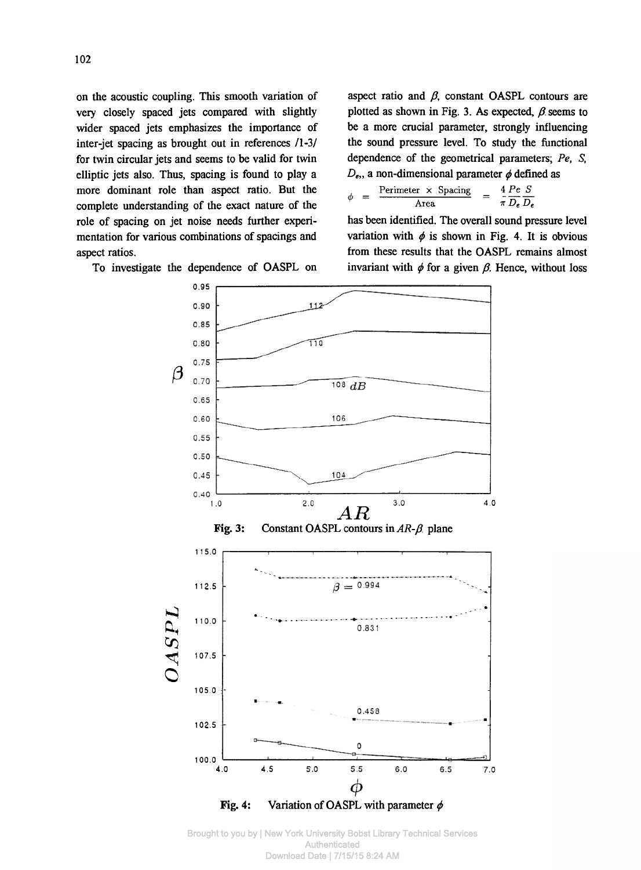on the acoustic coupling. This smooth variation of very closely spaced jets compared with slightly wider spaced jets emphasizes the importance of inter-jet spacing as brought out in references /1-3/ for twin circular jets and seems to be valid for twin elliptic jets also. Thus, spacing is found to play a more dominant role than aspect ratio. But the complete understanding of the exact nature of the role of spacing on jet noise needs further experimentation for various combinations of spacings and aspect ratios.

To investigate the dependence of OASPL on

aspect ratio and  $\beta$ , constant OASPL contours are plotted as shown in Fig. 3. As expected,  $\beta$  seems to be a more crucial parameter, strongly influencing the sound pressure level. To study the functional dependence of the geometrical parameters; Pe, S,  $D_{\epsilon}$ , a non-dimensional parameter  $\phi$  defined as

$$
b = \frac{\text{Perimeter} \times \text{Spacing}}{\text{Area}} = \frac{4}{\pi} \frac{Pe}{D_e} \frac{S}{D_e}
$$

has been identified. The overall sound pressure level variation with  $\phi$  is shown in Fig. 4. It is obvious from these results that the OASPL remains almost invariant with *φ* for a given *β.* Hence, without loss



Fig. 4: Variation of OASPL with parameter *φ* 

Brought to you by | New York University Bobst Library Technical Services Authenticated Download Date | 7/15/15 8:24 AM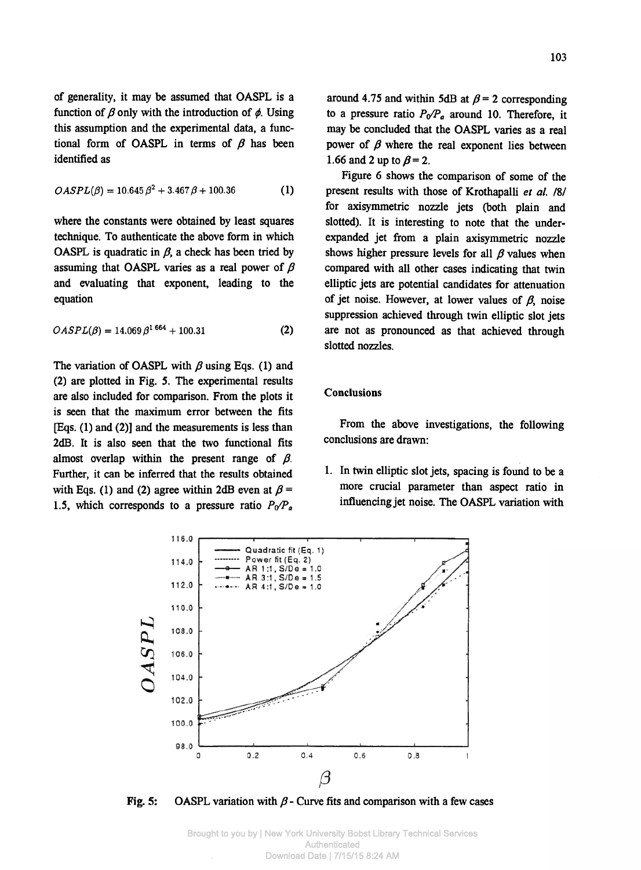**of generality, it may be assumed that OASPL is a function of β only with the introduction of φ. Using this assumption and the experimental data, a functional form of OASPL in terms of β has been identified as** 

$$
OASPL(\beta) = 10.645 \beta^2 + 3.467 \beta + 100.36 \tag{1}
$$

**where the constants were obtained by least squares technique. To authenticate the above form in which OASPL** is quadratic in  $\beta$ , a check has been tried by **assuming that OASPL varies as a real power of β and evaluating that exponent, leading to the equation** 

$$
OASPL(\beta) = 14.069 \beta^{1.664} + 100.31 \tag{2}
$$

**The variation of OASPL with β using Eqs. (1) and (2) are plotted in Fig. 5. The experimental results are also included for comparison. From the plots it is seen that the maximum error between the fits [Eqs. (1) and (2)] and the measurements is less than 2dB. It is also seen that the two functional fits almost overlap within the present range of β. Further, it can be inferred that the results obtained**  with Eqs. (1) and (2) agree within 2dB even at  $\beta$  = 1.5, which corresponds to a pressure ratio  $P_0/P_a$ 

around 4.75 and within 5dB at  $\beta$  = 2 corresponding to a pressure ratio  $P_0/P_a$  around 10. Therefore, it **may be concluded that the OASPL varies as a real power of**  $\beta$  **where the real exponent lies between 1.66 and 2 up to**  $\beta = 2$ **.** 

**Figure 6 shows the comparison of some of the present results with those of Krothapalli** *et al.* **/8/ for axisymmetric nozzle jets (both plain and slotted). It is interesting to note that the underexpanded jet ftom a plain axisymmetric nozzle shows higher pressure levels for all β values when compared with all other cases indicating that twin elliptic jets are potential candidates for attenuation of jet noise. However, at lower values of β\ noise suppression achieved through twin elliptic slot jets are not as pronounced as that achieved through slotted nozzles.** 

## **Conclusions**

**From the above investigations, the following conclusions are drawn:** 

**1. In twin elliptic slot jets, spacing is found to be a more crucial parameter than aspect ratio in influencing jet noise. The OASPL variation with** 



**Fig. 5: OASPL variation with β - Curve fits and comparison with a few cases**